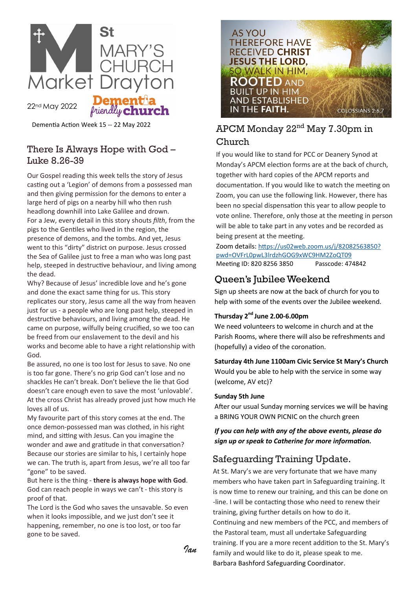

22nd May 2022

Dementia Action Week 15 -- 22 May 2022

## There Is Always Hope with God – Luke 8.26-39

friendly **chu** 

Our Gospel reading this week tells the story of Jesus casting out a 'Legion' of demons from a possessed man and then giving permission for the demons to enter a large herd of pigs on a nearby hill who then rush headlong downhill into Lake Galilee and drown. For a Jew, every detail in this story shouts *filth*, from the pigs to the Gentiles who lived in the region, the presence of demons, and the tombs. And yet, Jesus went to this "dirty" district on purpose. Jesus crossed the Sea of Galilee just to free a man who was long past help, steeped in destructive behaviour, and living among the dead.

Why? Because of Jesus' incredible love and he's gone and done the exact same thing for us. This story replicates our story, Jesus came all the way from heaven just for us - a people who are long past help, steeped in destructive behaviours, and living among the dead. He came on purpose, wilfully being crucified, so we too can be freed from our enslavement to the devil and his works and become able to have a right relationship with God.

Be assured, no one is too lost for Jesus to save. No one is too far gone. There's no grip God can't lose and no shackles He can't break. Don't believe the lie that God doesn't care enough even to save the most 'unlovable'. At the cross Christ has already proved just how much He loves all of us.

My favourite part of this story comes at the end. The once demon-possessed man was clothed, in his right mind, and sitting with Jesus. Can you imagine the wonder and awe and gratitude in that conversation? Because our stories are similar to his, I certainly hope we can. The truth is, apart from Jesus, we're all too far "gone" to be saved.

But here is the thing - **there is always hope with God**. God can reach people in ways we can't - this story is proof of that.

The Lord is the God who saves the unsavable. So even when it looks impossible, and we just don't see it happening, remember, no one is too lost, or too far gone to be saved.



# APCM Monday 22nd May 7.30pm in

### Church

If you would like to stand for PCC or Deanery Synod at Monday's APCM election forms are at the back of church, together with hard copies of the APCM reports and documentation. If you would like to watch the meeting on Zoom, you can use the following link. However, there has been no special dispensation this year to allow people to vote online. Therefore, only those at the meeting in person will be able to take part in any votes and be recorded as being present at the meeting.

Zoom details: [https://us02web.zoom.us/j/82082563850?](https://us02web.zoom.us/j/82082563850?pwd=OVFrL0pwL3lrdzhGOG9xWC9HM2ZoQT09) [pwd=OVFrL0pwL3lrdzhGOG9xWC9HM2ZoQT09](https://us02web.zoom.us/j/82082563850?pwd=OVFrL0pwL3lrdzhGOG9xWC9HM2ZoQT09) Meeting ID: 820 8256 3850 Passcode: 474842

# Queen's Jubilee Weekend

Sign up sheets are now at the back of church for you to help with some of the events over the Jubilee weekend.

#### **Thursday 2nd June 2.00-6.00pm**

We need volunteers to welcome in church and at the Parish Rooms, where there will also be refreshments and (hopefully) a video of the coronation.

# **Saturday 4th June 1100am Civic Service St Mary's Church**

Would you be able to help with the service in some way (welcome, AV etc)?

#### **Sunday 5th June**

After our usual Sunday morning services we will be having a BRING YOUR OWN PICNIC on the church green

### *If you can help with any of the above events, please do sign up or speak to Catherine for more information.*

# Safeguarding Training Update.

At St. Mary's we are very fortunate that we have many members who have taken part in Safeguarding training. It is now time to renew our training, and this can be done on -line. I will be contacting those who need to renew their training, giving further details on how to do it. Continuing and new members of the PCC, and members of the Pastoral team, must all undertake Safeguarding training. If you are a more recent addition to the St. Mary's family and would like to do it, please speak to me. Barbara Bashford Safeguarding Coordinator.